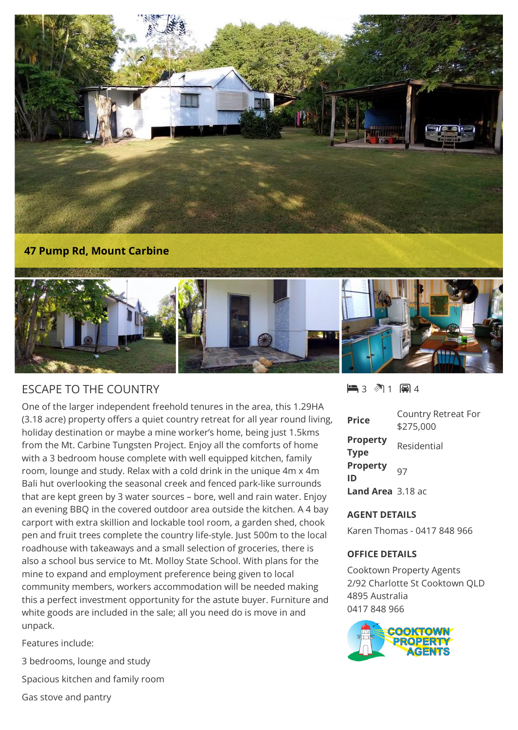

## ESCAPE TO THE COUNTRY

One of the larger independent freehold tenures in the area, this 1.29HA (3.18 acre) property offers a quiet country retreat for all year round living, holiday destination or maybe a mine worker's home, being just 1.5kms from the Mt. Carbine Tungsten Project. Enjoy all the comforts of home with a 3 bedroom house complete with well equipped kitchen, family room, lounge and study. Relax with a cold drink in the unique 4m x 4m Bali hut overlooking the seasonal creek and fenced park-like surrounds that are kept green by 3 water sources – bore, well and rain water. Enjoy an evening BBQ in the covered outdoor area outside the kitchen. A 4 bay carport with extra skillion and lockable tool room, a garden shed, chook pen and fruit trees complete the country life-style. Just 500m to the local roadhouse with takeaways and a small selection of groceries, there is also a school bus service to Mt. Molloy State School. With plans for the mine to expand and employment preference being given to local community members, workers accommodation will be needed making this a perfect investment opportunity for the astute buyer. Furniture and white goods are included in the sale; all you need do is move in and unpack.

Features include:

3 bedrooms, lounge and study Spacious kitchen and family room Gas stove and pantry

## $-3$   $\sqrt[3]{1}$   $-1$   $-4$

| <b>Price</b>                   | Country Retreat For<br>\$275,000 |
|--------------------------------|----------------------------------|
| <b>Property</b><br><b>Type</b> | Residential                      |
| <b>Property</b><br>ID          | 97                               |
| Land Area 3.18 ac              |                                  |

## **AGENT DETAILS**

Karen Thomas - 0417 848 966

## **OFFICE DETAILS**

Cooktown Property Agents 2/92 Charlotte St Cooktown QLD 4895 Australia 0417 848 966